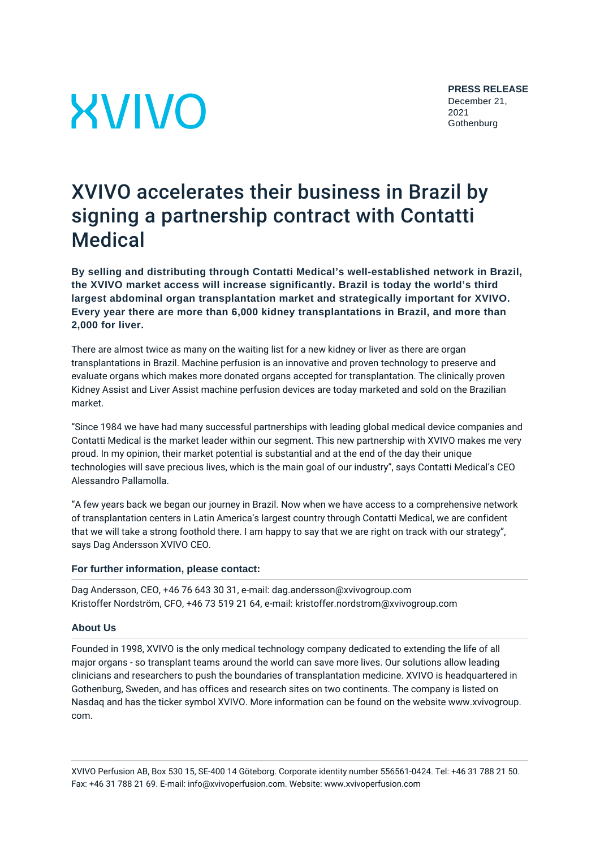# **XVIVO**

## XVIVO accelerates their business in Brazil by signing a partnership contract with Contatti Medical

**By selling and distributing through Contatti Medical's well-established network in Brazil, the XVIVO market access will increase significantly. Brazil is today the world's third largest abdominal organ transplantation market and strategically important for XVIVO. Every year there are more than 6,000 kidney transplantations in Brazil, and more than 2,000 for liver.**

There are almost twice as many on the waiting list for a new kidney or liver as there are organ transplantations in Brazil. Machine perfusion is an innovative and proven technology to preserve and evaluate organs which makes more donated organs accepted for transplantation. The clinically proven Kidney Assist and Liver Assist machine perfusion devices are today marketed and sold on the Brazilian market.

"Since 1984 we have had many successful partnerships with leading global medical device companies and Contatti Medical is the market leader within our segment. This new partnership with XVIVO makes me very proud. In my opinion, their market potential is substantial and at the end of the day their unique technologies will save precious lives, which is the main goal of our industry", says Contatti Medical's CEO Alessandro Pallamolla.

"A few years back we began our journey in Brazil. Now when we have access to a comprehensive network of transplantation centers in Latin America's largest country through Contatti Medical, we are confident that we will take a strong foothold there. I am happy to say that we are right on track with our strategy", says Dag Andersson XVIVO CEO.

### **For further information, please contact:**

Dag Andersson, CEO, +46 76 643 30 31, e-mail: dag.andersson@xvivogroup.com Kristoffer Nordström, CFO, +46 73 519 21 64, e-mail: kristoffer.nordstrom@xvivogroup.com

### **About Us**

Founded in 1998, XVIVO is the only medical technology company dedicated to extending the life of all major organs - so transplant teams around the world can save more lives. Our solutions allow leading clinicians and researchers to push the boundaries of transplantation medicine. XVIVO is headquartered in Gothenburg, Sweden, and has offices and research sites on two continents. The company is listed on Nasdaq and has the ticker symbol XVIVO. More information can be found on the website www.xvivogroup. com.

XVIVO Perfusion AB, Box 530 15, SE-400 14 Göteborg. Corporate identity number 556561-0424. Tel: +46 31 788 21 50. Fax: +46 31 788 21 69. E-mail: info@xvivoperfusion.com. Website: www.xvivoperfusion.com